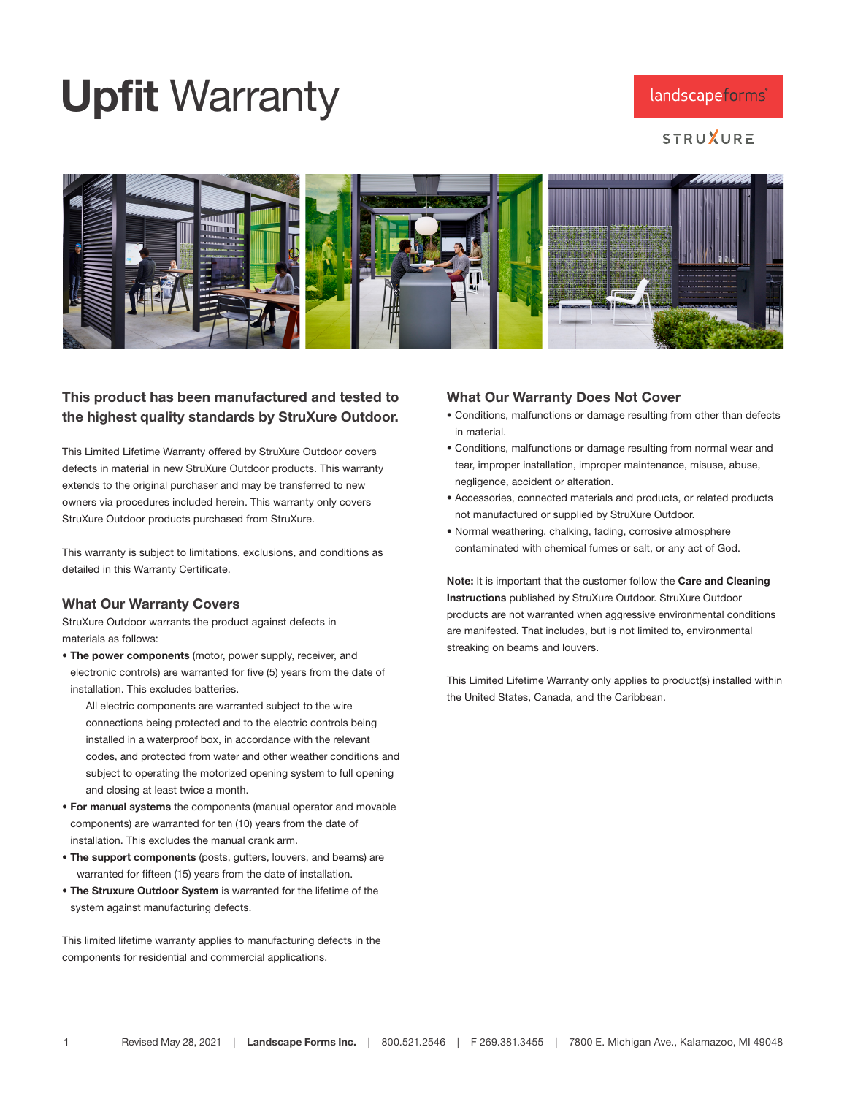## Upfit Warranty

## landscapeforms<sup>®</sup>

**STRUXURE** 



## This product has been manufactured and tested to the highest quality standards by StruXure Outdoor.

This Limited Lifetime Warranty offered by StruXure Outdoor covers defects in material in new StruXure Outdoor products. This warranty extends to the original purchaser and may be transferred to new owners via procedures included herein. This warranty only covers StruXure Outdoor products purchased from StruXure.

This warranty is subject to limitations, exclusions, and conditions as detailed in this Warranty Certificate.

## What Our Warranty Covers

StruXure Outdoor warrants the product against defects in materials as follows:

• The power components (motor, power supply, receiver, and electronic controls) are warranted for five (5) years from the date of installation. This excludes batteries.

 All electric components are warranted subject to the wire connections being protected and to the electric controls being installed in a waterproof box, in accordance with the relevant codes, and protected from water and other weather conditions and subject to operating the motorized opening system to full opening and closing at least twice a month.

- For manual systems the components (manual operator and movable components) are warranted for ten (10) years from the date of installation. This excludes the manual crank arm.
- The support components (posts, gutters, louvers, and beams) are warranted for fifteen (15) years from the date of installation.
- The Struxure Outdoor System is warranted for the lifetime of the system against manufacturing defects.

This limited lifetime warranty applies to manufacturing defects in the components for residential and commercial applications.

#### What Our Warranty Does Not Cover

- Conditions, malfunctions or damage resulting from other than defects in material.
- Conditions, malfunctions or damage resulting from normal wear and tear, improper installation, improper maintenance, misuse, abuse, negligence, accident or alteration.
- Accessories, connected materials and products, or related products not manufactured or supplied by StruXure Outdoor.
- Normal weathering, chalking, fading, corrosive atmosphere contaminated with chemical fumes or salt, or any act of God.

Note: It is important that the customer follow the Care and Cleaning Instructions published by StruXure Outdoor. StruXure Outdoor products are not warranted when aggressive environmental conditions are manifested. That includes, but is not limited to, environmental streaking on beams and louvers.

This Limited Lifetime Warranty only applies to product(s) installed within the United States, Canada, and the Caribbean.